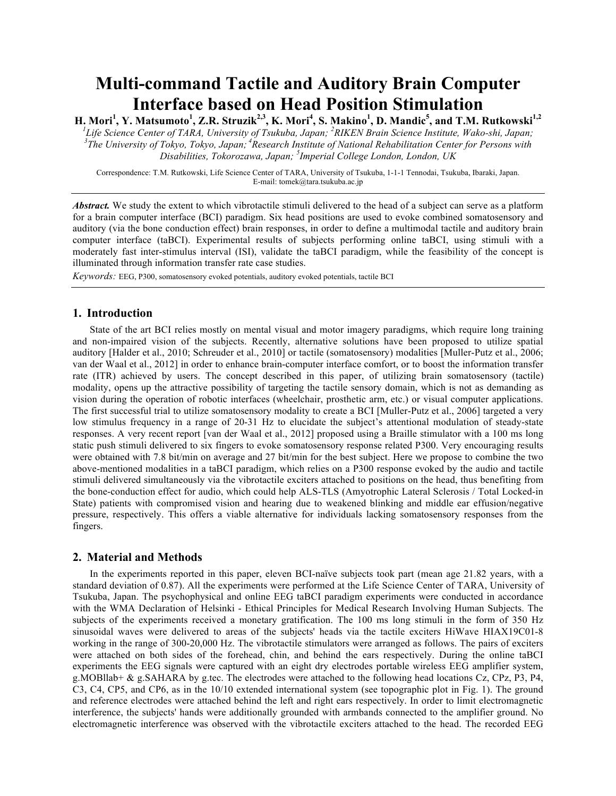# **Multi-command Tactile and Auditory Brain Computer Interface based on Head Position Stimulation**

 $\bf H. \, \bf{Mori}^1, \bf{Y}. \, \bf{Matsumoto}^1, \bf{Z.R.} \, \bf{Struzik}^{2,3}, \bf{K.} \, \bf{Mori}^4, \bf{S.} \, \bf{Makino}^1, \bf{D.} \, \bf{Mandić}^5, \bf{and} \, \bf{T.M.} \, \bf{Rutkowski}^{1,2}$ 

*1 Life Science Center of TARA, University of Tsukuba, Japan; <sup>2</sup> RIKEN Brain Science Institute, Wako-shi, Japan; 3 The University of Tokyo, Tokyo, Japan; <sup>4</sup> Research Institute of National Rehabilitation Center for Persons with Disabilities, Tokorozawa, Japan; <sup>5</sup> Imperial College London, London, UK*

Correspondence: T.M. Rutkowski, Life Science Center of TARA, University of Tsukuba, 1-1-1 Tennodai, Tsukuba, Ibaraki, Japan. E-mail: tomek@tara.tsukuba.ac.jp

*Abstract.* We study the extent to which vibrotactile stimuli delivered to the head of a subject can serve as a platform for a brain computer interface (BCI) paradigm. Six head positions are used to evoke combined somatosensory and auditory (via the bone conduction effect) brain responses, in order to define a multimodal tactile and auditory brain computer interface (taBCI). Experimental results of subjects performing online taBCI, using stimuli with a moderately fast inter-stimulus interval (ISI), validate the taBCI paradigm, while the feasibility of the concept is illuminated through information transfer rate case studies.

*Keywords:* EEG, P300, somatosensory evoked potentials, auditory evoked potentials, tactile BCI

### **1. Introduction**

State of the art BCI relies mostly on mental visual and motor imagery paradigms, which require long training and non-impaired vision of the subjects. Recently, alternative solutions have been proposed to utilize spatial auditory [Halder et al., 2010; Schreuder et al., 2010] or tactile (somatosensory) modalities [Muller-Putz et al., 2006; van der Waal et al., 2012] in order to enhance brain-computer interface comfort, or to boost the information transfer rate (ITR) achieved by users. The concept described in this paper, of utilizing brain somatosensory (tactile) modality, opens up the attractive possibility of targeting the tactile sensory domain, which is not as demanding as vision during the operation of robotic interfaces (wheelchair, prosthetic arm, etc.) or visual computer applications. The first successful trial to utilize somatosensory modality to create a BCI [Muller-Putz et al., 2006] targeted a very low stimulus frequency in a range of 20-31 Hz to elucidate the subject's attentional modulation of steady-state responses. A very recent report [van der Waal et al., 2012] proposed using a Braille stimulator with a 100 ms long static push stimuli delivered to six fingers to evoke somatosensory response related P300. Very encouraging results were obtained with 7.8 bit/min on average and 27 bit/min for the best subject. Here we propose to combine the two above-mentioned modalities in a taBCI paradigm, which relies on a P300 response evoked by the audio and tactile stimuli delivered simultaneously via the vibrotactile exciters attached to positions on the head, thus benefiting from the bone-conduction effect for audio, which could help ALS-TLS (Amyotrophic Lateral Sclerosis / Total Locked-in State) patients with compromised vision and hearing due to weakened blinking and middle ear effusion/negative pressure, respectively. This offers a viable alternative for individuals lacking somatosensory responses from the fingers.

## **2. Material and Methods**

In the experiments reported in this paper, eleven BCI-naïve subjects took part (mean age 21.82 years, with a standard deviation of 0.87). All the experiments were performed at the Life Science Center of TARA, University of Tsukuba, Japan. The psychophysical and online EEG taBCI paradigm experiments were conducted in accordance with the WMA Declaration of Helsinki - Ethical Principles for Medical Research Involving Human Subjects. The subjects of the experiments received a monetary gratification. The 100 ms long stimuli in the form of 350 Hz sinusoidal waves were delivered to areas of the subjects' heads via the tactile exciters HiWave HIAX19C01-8 working in the range of 300-20,000 Hz. The vibrotactile stimulators were arranged as follows. The pairs of exciters were attached on both sides of the forehead, chin, and behind the ears respectively. During the online taBCI experiments the EEG signals were captured with an eight dry electrodes portable wireless EEG amplifier system, g.MOBllab+ & g.SAHARA by g.tec. The electrodes were attached to the following head locations Cz, CPz, P3, P4, C3, C4, CP5, and CP6, as in the 10/10 extended international system (see topographic plot in Fig. 1). The ground and reference electrodes were attached behind the left and right ears respectively. In order to limit electromagnetic interference, the subjects' hands were additionally grounded with armbands connected to the amplifier ground. No electromagnetic interference was observed with the vibrotactile exciters attached to the head. The recorded EEG